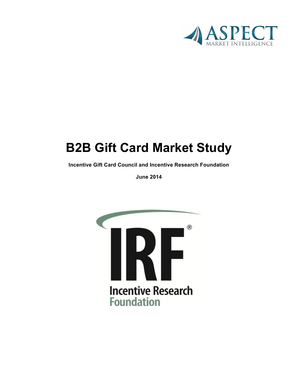

# **B2B Gift Card Market Study**

**Incentive Gift Card Council and Incentive Research Foundation**

**June 2014**

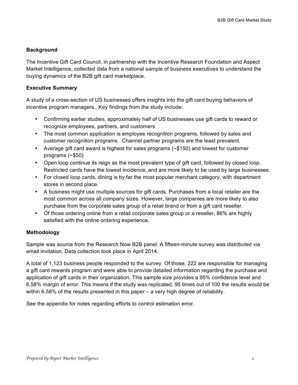#### **Background**

The Incentive Gift Card Council, in partnership with the Incentive Research Foundation and Aspect Market Intelligence, collected data from a national sample of business executives to understand the buying dynamics of the B2B gift card marketplace.

#### **Executive Summary**

A study of a cross-section of US businesses offers insights into the gift card buying behaviors of incentive program managers. Key findings from the study include:

- Confirming earlier studies, approximately half of US businesses use gift cards to reward or recognize employees, partners, and customers
- The most common application is employee recognition programs, followed by sales and customer recognition programs. Channel partner programs are the least prevalent.
- Average gift card award is highest for sales programs (~\$150) and lowest for customer programs (~\$50)
- Open loop continue its reign as the most prevalent type of gift card, followed by closed loop. Restricted cards have the lowest incidence, and are more likely to be used by large businesses.
- For closed loop cards, dining is by far the most popular merchant category, with department stores in second place.
- A business might use multiple sources for gift cards. Purchases from a local retailer are the most common across all company sizes. However, large companies are more likely to also purchase from the corporate sales group of a retail brand or from a gift card reseller.
- Of those ordering online from a retail corporate sales group or a reseller, 86% are highly satisfied with the online ordering experience.

#### **Methodology**

Sample was source from the Research Now B2B panel. A fifteen-minute survey was distributed via email invitation. Data collection took place in April 2014.

A total of 1,123 business people responded to the survey. Of those, 222 are responsible for managing a gift card rewards program and were able to provide detailed information regarding the purchase and application of gift cards in their organization. This sample size provides a 95% confidence level and 6.58% margin of error. This means if the study was replicated, 95 times out of 100 the results would be within 6.58% of the results presented in this paper – a very high degree of reliability.

See the appendix for notes regarding efforts to control estimation error.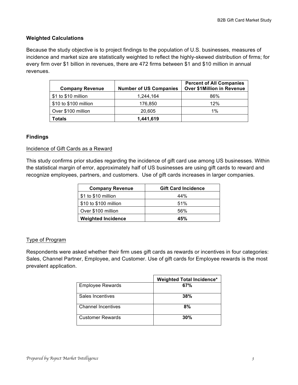## **Weighted Calculations**

Because the study objective is to project findings to the population of U.S. businesses, measures of incidence and market size are statistically weighted to reflect the highly-skewed distribution of firms; for every firm over \$1 billion in revenues, there are 472 firms between \$1 and \$10 million in annual revenues.

| <b>Company Revenue</b> | <b>Number of US Companies</b> | <b>Percent of All Companies</b><br><b>Over \$1Million in Revenue</b> |
|------------------------|-------------------------------|----------------------------------------------------------------------|
| \$1 to \$10 million    | 1,244,164                     | 86%                                                                  |
| \$10 to \$100 million  | 176,850                       | 12%                                                                  |
| Over \$100 million     | 20,605                        | 1%                                                                   |
| Totals                 | 1,441,619                     |                                                                      |

### **Findings**

#### Incidence of Gift Cards as a Reward

This study confirms prior studies regarding the incidence of gift card use among US businesses. Within the statistical margin of error, approximately half of US businesses are using gift cards to reward and recognize employees, partners, and customers. Use of gift cards increases in larger companies.

| <b>Company Revenue</b>    | <b>Gift Card Incidence</b> |
|---------------------------|----------------------------|
| \$1 to \$10 million       | 44%                        |
| \$10 to \$100 million     | 51%                        |
| Over \$100 million        | 56%                        |
| <b>Weighted Incidence</b> | 45%                        |

### Type of Program

Respondents were asked whether their firm uses gift cards as rewards or incentives in four categories: Sales, Channel Partner, Employee, and Customer. Use of gift cards for Employee rewards is the most prevalent application.

|                         | <b>Weighted Total Incidence*</b> |
|-------------------------|----------------------------------|
| <b>Employee Rewards</b> | 67%                              |
| Sales Incentives        | 38%                              |
| Channel Incentives      | 8%                               |
| <b>Customer Rewards</b> | 30%                              |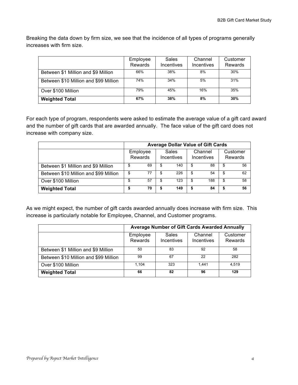Breaking the data down by firm size, we see that the incidence of all types of programs generally increases with firm size.

|                                       | Employee<br>Rewards | <b>Sales</b><br><b>Incentives</b> | Channel<br>Incentives | Customer<br>Rewards |
|---------------------------------------|---------------------|-----------------------------------|-----------------------|---------------------|
| Between \$1 Million and \$9 Million   | 66%                 | 38%                               | 8%                    | 30%                 |
| Between \$10 Million and \$99 Million | 74%                 | 34%                               | 5%                    | 31%                 |
| Over \$100 Million                    | 79%                 | 45%                               | 16%                   | 35%                 |
| <b>Weighted Total</b>                 | 67%                 | 38%                               | 8%                    | 30%                 |

For each type of program, respondents were asked to estimate the average value of a gift card award and the number of gift cards that are awarded annually. The face value of the gift card does not increase with company size.

|                                       | <b>Average Dollar Value of Gift Cards</b> |                     |  |                            |                       |    |                     |
|---------------------------------------|-------------------------------------------|---------------------|--|----------------------------|-----------------------|----|---------------------|
|                                       |                                           | Employee<br>Rewards |  | <b>Sales</b><br>Incentives | Channel<br>Incentives |    | Customer<br>Rewards |
| Between \$1 Million and \$9 Million   | \$                                        | 69                  |  | 140                        | \$<br>88              | \$ | 56                  |
| Between \$10 Million and \$99 Million | \$                                        | 77                  |  | 226                        | \$<br>54              | S  | 62                  |
| Over \$100 Million                    | \$                                        | 57                  |  | 123                        | \$<br>188             | \$ | 58                  |
| <b>Weighted Total</b>                 |                                           | 70                  |  | 149                        | \$<br>84              |    | 56                  |

As we might expect, the number of gift cards awarded annually does increase with firm size. This increase is particularly notable for Employee, Channel, and Customer programs.

|                                       | Average Number of Gift Cards Awarded Annually |                            |                              |                     |  |
|---------------------------------------|-----------------------------------------------|----------------------------|------------------------------|---------------------|--|
|                                       | Employee<br>Rewards                           | <b>Sales</b><br>Incentives | Channel<br><b>Incentives</b> | Customer<br>Rewards |  |
| Between \$1 Million and \$9 Million   | 50                                            | 83                         | 92                           | 58                  |  |
| Between \$10 Million and \$99 Million | 99                                            | 67                         | 22                           | 282                 |  |
| Over \$100 Million                    | 1.104                                         | 323                        | 1,441                        | 4.519               |  |
| <b>Weighted Total</b>                 | 66                                            | 82                         | 96                           | 129                 |  |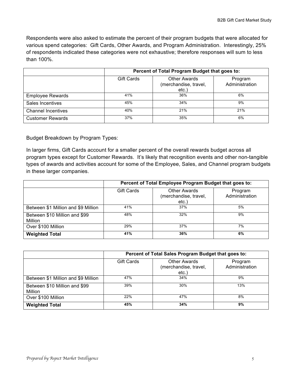Respondents were also asked to estimate the percent of their program budgets that were allocated for various spend categories: Gift Cards, Other Awards, and Program Administration. Interestingly, 25% of respondents indicated these categories were not exhaustive; therefore responses will sum to less than 100%.

|                           | Percent of Total Program Budget that goes to: |                                                      |                           |  |  |
|---------------------------|-----------------------------------------------|------------------------------------------------------|---------------------------|--|--|
|                           | <b>Gift Cards</b>                             | <b>Other Awards</b><br>(merchandise, travel,<br>etc. | Program<br>Administration |  |  |
| <b>Employee Rewards</b>   | 41%                                           | 36%                                                  | 6%                        |  |  |
| Sales Incentives          | 45%                                           | 34%                                                  | 9%                        |  |  |
| <b>Channel Incentives</b> | 40%                                           | 21%                                                  | 21%                       |  |  |
| <b>Customer Rewards</b>   | 37%                                           | 35%                                                  | 6%                        |  |  |

Budget Breakdown by Program Types:

In larger firms, Gift Cards account for a smaller percent of the overall rewards budget across all program types except for Customer Rewards. It's likely that recognition events and other non-tangible types of awards and activities account for some of the Employee, Sales, and Channel program budgets in these larger companies.

|                                          | Percent of Total Employee Program Budget that goes to: |                                                      |                           |  |  |
|------------------------------------------|--------------------------------------------------------|------------------------------------------------------|---------------------------|--|--|
|                                          | <b>Gift Cards</b>                                      | <b>Other Awards</b><br>(merchandise, travel,<br>etc. | Program<br>Administration |  |  |
| Between \$1 Million and \$9 Million      | 41%                                                    | 37%                                                  | 5%                        |  |  |
| Between \$10 Million and \$99<br>Million | 48%                                                    | 32%                                                  | 9%                        |  |  |
| Over \$100 Million                       | 29%                                                    | 37%                                                  | 7%                        |  |  |
| <b>Weighted Total</b>                    | 41%                                                    | 36%                                                  | 6%                        |  |  |

|                                                 | Percent of Total Sales Program Budget that goes to: |                                                      |                           |  |  |
|-------------------------------------------------|-----------------------------------------------------|------------------------------------------------------|---------------------------|--|--|
|                                                 | <b>Gift Cards</b>                                   | <b>Other Awards</b><br>(merchandise, travel,<br>etc. | Program<br>Administration |  |  |
| Between \$1 Million and \$9 Million             | 47%                                                 | 34%                                                  | 9%                        |  |  |
| Between \$10 Million and \$99<br><b>Million</b> | 39%                                                 | 30%                                                  | 13%                       |  |  |
| Over \$100 Million                              | 22%                                                 | 47%                                                  | 8%                        |  |  |
| <b>Weighted Total</b>                           | 45%                                                 | 34%                                                  | 9%                        |  |  |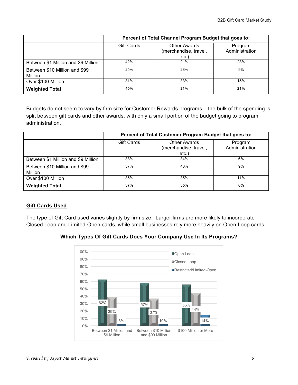|                                          | Percent of Total Channel Program Budget that goes to: |                                                      |                           |  |  |
|------------------------------------------|-------------------------------------------------------|------------------------------------------------------|---------------------------|--|--|
|                                          | <b>Gift Cards</b>                                     | <b>Other Awards</b><br>(merchandise, travel,<br>etc. | Program<br>Administration |  |  |
| Between \$1 Million and \$9 Million      | 42%                                                   | 21%                                                  | 23%                       |  |  |
| Between \$10 Million and \$99<br>Million | 25%                                                   | 23%                                                  | 9%                        |  |  |
| Over \$100 Million                       | 31%                                                   | 33%                                                  | 15%                       |  |  |
| <b>Weighted Total</b>                    | 40%                                                   | 21%                                                  | 21%                       |  |  |

Budgets do not seem to vary by firm size for Customer Rewards programs – the bulk of the spending is split between gift cards and other awards, with only a small portion of the budget going to program administration.

|                                          | Percent of Total Customer Program Budget that goes to: |                                                      |                           |  |  |
|------------------------------------------|--------------------------------------------------------|------------------------------------------------------|---------------------------|--|--|
|                                          | <b>Gift Cards</b>                                      | <b>Other Awards</b><br>(merchandise, travel,<br>etc. | Program<br>Administration |  |  |
| Between \$1 Million and \$9 Million      | 38%                                                    | 34%                                                  | 6%                        |  |  |
| Between \$10 Million and \$99<br>Million | 37%                                                    | 40%                                                  | 9%                        |  |  |
| Over \$100 Million                       | 35%                                                    | 35%                                                  | 11%                       |  |  |
| <b>Weighted Total</b>                    | 37%                                                    | 35%                                                  | 6%                        |  |  |

# **Gift Cards Used**

The type of Gift Card used varies slightly by firm size. Larger firms are more likely to incorporate Closed Loop and Limited-Open cards, while small businesses rely more heavily on Open Loop cards.



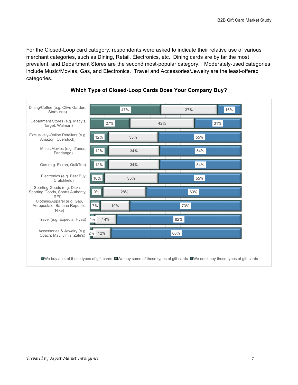For the Closed-Loop card category, respondents were asked to indicate their relative use of various merchant categories, such as Dining, Retail, Electronics, etc. Dining cards are by far the most prevalent, and Department Stores are the second most-popular category. Moderately-used categories include Music/Movies, Gas, and Electronics. Travel and Accessories/Jewelry are the least-offered categories.



### **Which Type of Closed-Loop Cards Does Your Company Buy?**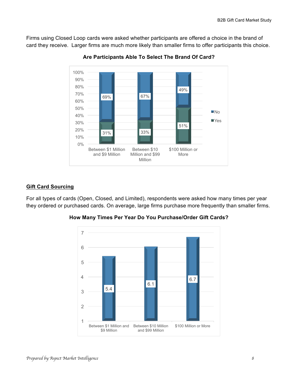Firms using Closed Loop cards were asked whether participants are offered a choice in the brand of card they receive. Larger firms are much more likely than smaller firms to offer participants this choice.



**Are Participants Able To Select The Brand Of Card?**

#### **Gift Card Sourcing**

For all types of cards (Open, Closed, and Limited), respondents were asked how many times per year they ordered or purchased cards. On average, large firms purchase more frequently than smaller firms.



**How Many Times Per Year Do You Purchase/Order Gift Cards?**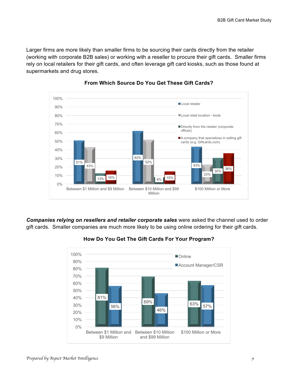Larger firms are more likely than smaller firms to be sourcing their cards directly from the retailer (working with corporate B2B sales) or working with a reseller to procure their gift cards. Smaller firms rely on local retailers for their gift cards, and often leverage gift card kiosks, such as those found at supermarkets and drug stores.



#### **From Which Source Do You Get These Gift Cards?**

*Companies relying on resellers and retailer corporate sales* were asked the channel used to order gift cards. Smaller companies are much more likely to be using online ordering for their gift cards.



**How Do You Get The Gift Cards For Your Program?**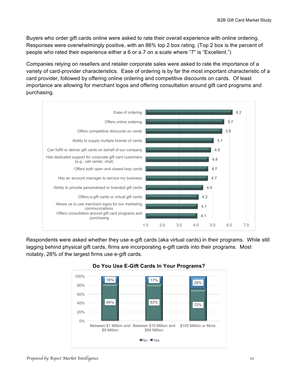Buyers who order gift cards online were asked to rate their overall experience with online ordering. Responses were overwhelmingly positive, with an 86% top 2 box rating. (Top 2 box is the percent of people who rated their experience either a 6 or a 7 on a scale where "7" is "Excellent.")

Companies relying on resellers and retailer corporate sales were asked to rate the importance of a variety of card-provider characteristics. Ease of ordering is by far the most important characteristic of a card provider, followed by offering online ordering and competitive discounts on cards. Of least importance are allowing for merchant logos and offering consultation around gift card programs and purchasing.



Respondents were asked whether they use e-gift cards (aka virtual cards) in their programs. While still lagging behind physical gift cards, firms are incorporating e-gift cards into their programs. Most notably, 28% of the largest firms use e-gift cards.



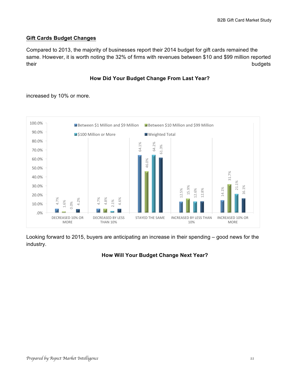### **Gift Cards Budget Changes**

Compared to 2013, the majority of businesses report their 2014 budget for gift cards remained the same. However, it is worth noting the 32% of firms with revenues between \$10 and \$99 million reported their budgets budgets and the control of the control of the control of the control of the control of the control of the control of the control of the control of the control of the control of the control of the control of t

#### **How Did Your Budget Change From Last Year?**

increased by 10% or more.



Looking forward to 2015, buyers are anticipating an increase in their spending – good news for the industry.

### **How Will Your Budget Change Next Year?**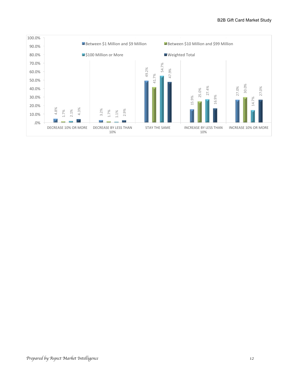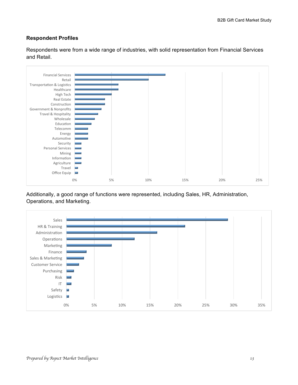#### **Respondent Profiles**

Respondents were from a wide range of industries, with solid representation from Financial Services and Retail.



Additionally, a good range of functions were represented, including Sales, HR, Administration, Operations, and Marketing.